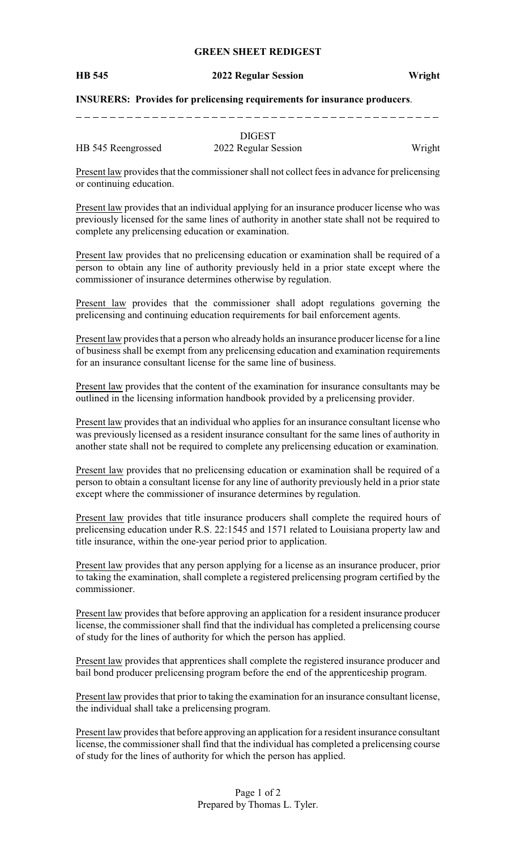## **GREEN SHEET REDIGEST**

#### **HB 545 2022 Regular Session Wright**

### **INSURERS: Provides for prelicensing requirements for insurance producers**.

|                    | <b>DIGEST</b>        |        |
|--------------------|----------------------|--------|
| HB 545 Reengrossed | 2022 Regular Session | Wright |

Present law provides that the commissioner shall not collect fees in advance for prelicensing or continuing education.

Present law provides that an individual applying for an insurance producer license who was previously licensed for the same lines of authority in another state shall not be required to complete any prelicensing education or examination.

Present law provides that no prelicensing education or examination shall be required of a person to obtain any line of authority previously held in a prior state except where the commissioner of insurance determines otherwise by regulation.

Present law provides that the commissioner shall adopt regulations governing the prelicensing and continuing education requirements for bail enforcement agents.

Present law provides that a person who already holds an insurance producer license for a line of business shall be exempt from any prelicensing education and examination requirements for an insurance consultant license for the same line of business.

Present law provides that the content of the examination for insurance consultants may be outlined in the licensing information handbook provided by a prelicensing provider.

Present law provides that an individual who applies for an insurance consultant license who was previously licensed as a resident insurance consultant for the same lines of authority in another state shall not be required to complete any prelicensing education or examination.

Present law provides that no prelicensing education or examination shall be required of a person to obtain a consultant license for any line of authority previously held in a prior state except where the commissioner of insurance determines by regulation.

Present law provides that title insurance producers shall complete the required hours of prelicensing education under R.S. 22:1545 and 1571 related to Louisiana property law and title insurance, within the one-year period prior to application.

Present law provides that any person applying for a license as an insurance producer, prior to taking the examination, shall complete a registered prelicensing program certified by the commissioner.

Present law provides that before approving an application for a resident insurance producer license, the commissioner shall find that the individual has completed a prelicensing course of study for the lines of authority for which the person has applied.

Present law provides that apprentices shall complete the registered insurance producer and bail bond producer prelicensing program before the end of the apprenticeship program.

Present law provides that prior to taking the examination for an insurance consultant license, the individual shall take a prelicensing program.

Present law provides that before approving an application for a resident insurance consultant license, the commissioner shall find that the individual has completed a prelicensing course of study for the lines of authority for which the person has applied.